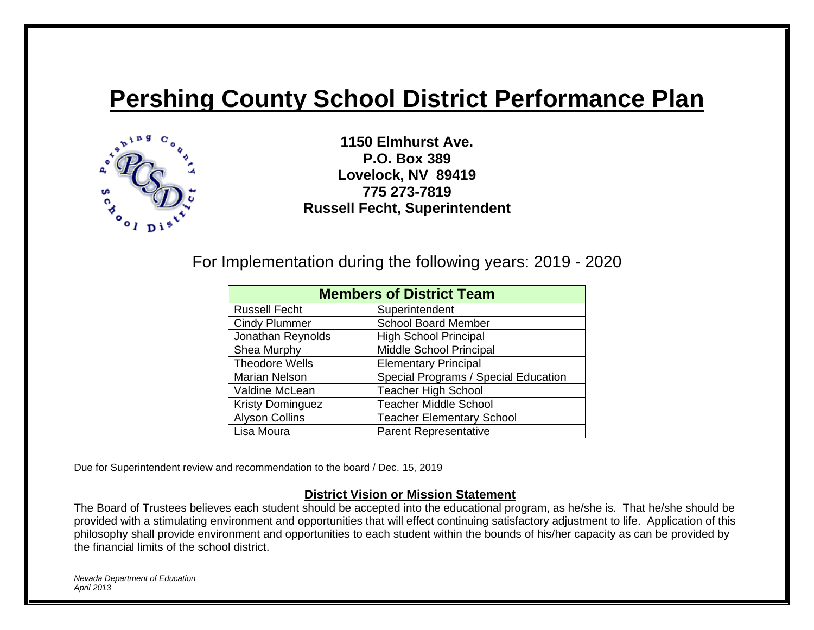# **Pershing County School District Performance Plan**



**1150 Elmhurst Ave. P.O. Box 389 Lovelock, NV 89419 775 273-7819 Russell Fecht, Superintendent**

For Implementation during the following years: 2019 - 2020

| <b>Members of District Team</b> |                                      |  |  |  |
|---------------------------------|--------------------------------------|--|--|--|
| <b>Russell Fecht</b>            | Superintendent                       |  |  |  |
| <b>Cindy Plummer</b>            | <b>School Board Member</b>           |  |  |  |
| Jonathan Reynolds               | <b>High School Principal</b>         |  |  |  |
| Shea Murphy                     | Middle School Principal              |  |  |  |
| <b>Theodore Wells</b>           | <b>Elementary Principal</b>          |  |  |  |
| Marian Nelson                   | Special Programs / Special Education |  |  |  |
| Valdine McLean                  | <b>Teacher High School</b>           |  |  |  |
| <b>Kristy Dominguez</b>         | <b>Teacher Middle School</b>         |  |  |  |
| <b>Alyson Collins</b>           | <b>Teacher Elementary School</b>     |  |  |  |
| Lisa Moura                      | <b>Parent Representative</b>         |  |  |  |

Due for Superintendent review and recommendation to the board / Dec. 15, 2019

#### **District Vision or Mission Statement**

The Board of Trustees believes each student should be accepted into the educational program, as he/she is. That he/she should be provided with a stimulating environment and opportunities that will effect continuing satisfactory adjustment to life. Application of this philosophy shall provide environment and opportunities to each student within the bounds of his/her capacity as can be provided by the financial limits of the school district.

*Nevada Department of Education April 2013*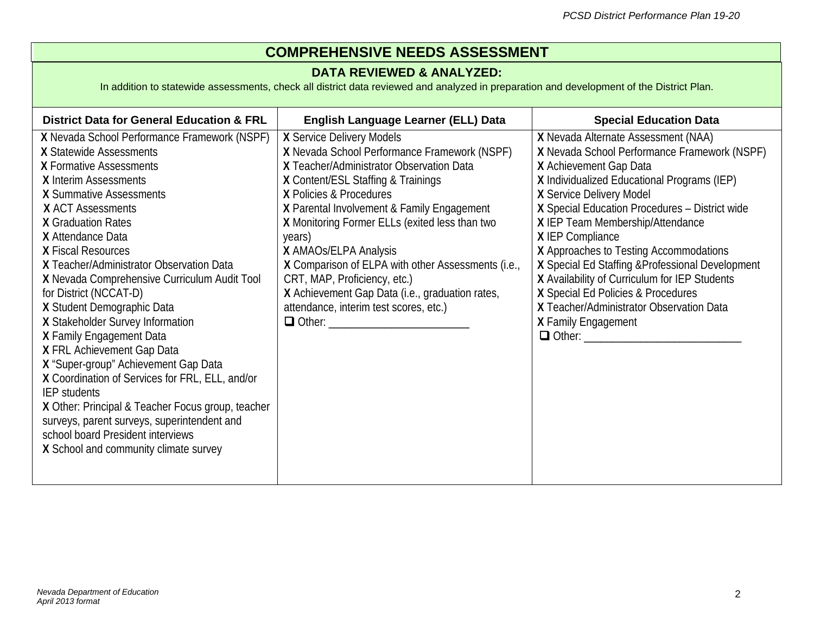## **COMPREHENSIVE NEEDS ASSESSMENT**

#### **DATA REVIEWED & ANALYZED:**

In addition to statewide assessments, check all district data reviewed and analyzed in preparation and development of the District Plan.

| <b>District Data for General Education &amp; FRL</b>                                                                                                                                                                                                                                                                                                                                                                                                                                                                                                                                                                                                                                                                                                                                                      | English Language Learner (ELL) Data                                                                                                                                                                                                                                                                                                                                                                                                                                                                                           | <b>Special Education Data</b>                                                                                                                                                                                                                                                                                                                                                                                                                                                                                                                              |
|-----------------------------------------------------------------------------------------------------------------------------------------------------------------------------------------------------------------------------------------------------------------------------------------------------------------------------------------------------------------------------------------------------------------------------------------------------------------------------------------------------------------------------------------------------------------------------------------------------------------------------------------------------------------------------------------------------------------------------------------------------------------------------------------------------------|-------------------------------------------------------------------------------------------------------------------------------------------------------------------------------------------------------------------------------------------------------------------------------------------------------------------------------------------------------------------------------------------------------------------------------------------------------------------------------------------------------------------------------|------------------------------------------------------------------------------------------------------------------------------------------------------------------------------------------------------------------------------------------------------------------------------------------------------------------------------------------------------------------------------------------------------------------------------------------------------------------------------------------------------------------------------------------------------------|
| X Nevada School Performance Framework (NSPF)<br>X Statewide Assessments<br>X Formative Assessments<br>X Interim Assessments<br>X Summative Assessments<br><b>X ACT Assessments</b><br><b>X</b> Graduation Rates<br>X Attendance Data<br>X Fiscal Resources<br>X Teacher/Administrator Observation Data<br>X Nevada Comprehensive Curriculum Audit Tool<br>for District (NCCAT-D)<br>X Student Demographic Data<br>X Stakeholder Survey Information<br>X Family Engagement Data<br>X FRL Achievement Gap Data<br>X "Super-group" Achievement Gap Data<br>X Coordination of Services for FRL, ELL, and/or<br>IEP students<br>X Other: Principal & Teacher Focus group, teacher<br>surveys, parent surveys, superintendent and<br>school board President interviews<br>X School and community climate survey | X Service Delivery Models<br>X Nevada School Performance Framework (NSPF)<br>X Teacher/Administrator Observation Data<br>X Content/ESL Staffing & Trainings<br>X Policies & Procedures<br>X Parental Involvement & Family Engagement<br>X Monitoring Former ELLs (exited less than two<br>years)<br>X AMAOS/ELPA Analysis<br>X Comparison of ELPA with other Assessments (i.e.,<br>CRT, MAP, Proficiency, etc.)<br>X Achievement Gap Data (i.e., graduation rates,<br>attendance, interim test scores, etc.)<br>$\Box$ Other: | X Nevada Alternate Assessment (NAA)<br>X Nevada School Performance Framework (NSPF)<br>X Achievement Gap Data<br>X Individualized Educational Programs (IEP)<br>X Service Delivery Model<br>X Special Education Procedures - District wide<br>X IEP Team Membership/Attendance<br>X IEP Compliance<br>X Approaches to Testing Accommodations<br>X Special Ed Staffing & Professional Development<br>X Availability of Curriculum for IEP Students<br>X Special Ed Policies & Procedures<br>X Teacher/Administrator Observation Data<br>X Family Engagement |
|                                                                                                                                                                                                                                                                                                                                                                                                                                                                                                                                                                                                                                                                                                                                                                                                           |                                                                                                                                                                                                                                                                                                                                                                                                                                                                                                                               |                                                                                                                                                                                                                                                                                                                                                                                                                                                                                                                                                            |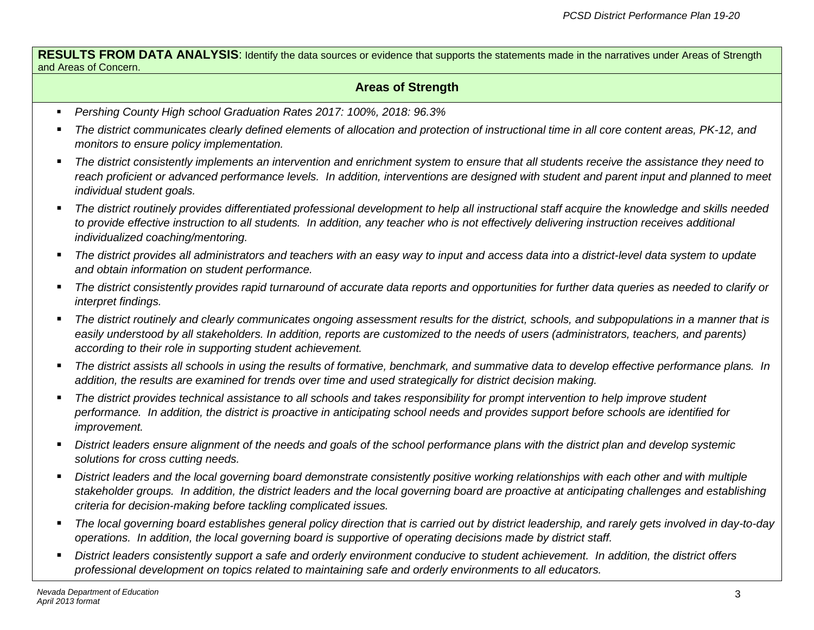**RESULTS FROM DATA ANALYSIS:** Identify the data sources or evidence that supports the statements made in the narratives under Areas of Strength and Areas of Concern.

#### **Areas of Strength**

- *Pershing County High school Graduation Rates 2017: 100%, 2018: 96.3%*
- *The district communicates clearly defined elements of allocation and protection of instructional time in all core content areas, PK-12, and monitors to ensure policy implementation.*
- *The district consistently implements an intervention and enrichment system to ensure that all students receive the assistance they need to*  reach proficient or advanced performance levels. In addition, interventions are designed with student and parent input and planned to meet *individual student goals.*
- *The district routinely provides differentiated professional development to help all instructional staff acquire the knowledge and skills needed to provide effective instruction to all students. In addition, any teacher who is not effectively delivering instruction receives additional individualized coaching/mentoring.*
- **The district provides all administrators and teachers with an easy way to input and access data into a district-level data system to update** *and obtain information on student performance.*
- The district consistently provides rapid turnaround of accurate data reports and opportunities for further data queries as needed to clarify or *interpret findings.*
- **The district routinely and clearly communicates ongoing assessment results for the district, schools, and subpopulations in a manner that is** *easily understood by all stakeholders. In addition, reports are customized to the needs of users (administrators, teachers, and parents) according to their role in supporting student achievement.*
- *The district assists all schools in using the results of formative, benchmark, and summative data to develop effective performance plans. In addition, the results are examined for trends over time and used strategically for district decision making.*
- *The district provides technical assistance to all schools and takes responsibility for prompt intervention to help improve student performance. In addition, the district is proactive in anticipating school needs and provides support before schools are identified for improvement.*
- *District leaders ensure alignment of the needs and goals of the school performance plans with the district plan and develop systemic solutions for cross cutting needs.*
- District leaders and the local governing board demonstrate consistently positive working relationships with each other and with multiple *stakeholder groups. In addition, the district leaders and the local governing board are proactive at anticipating challenges and establishing criteria for decision-making before tackling complicated issues.*
- *The local governing board establishes general policy direction that is carried out by district leadership, and rarely gets involved in day-to-day operations. In addition, the local governing board is supportive of operating decisions made by district staff.*
- **District leaders consistently support a safe and orderly environment conducive to student achievement. In addition, the district offers** *professional development on topics related to maintaining safe and orderly environments to all educators.*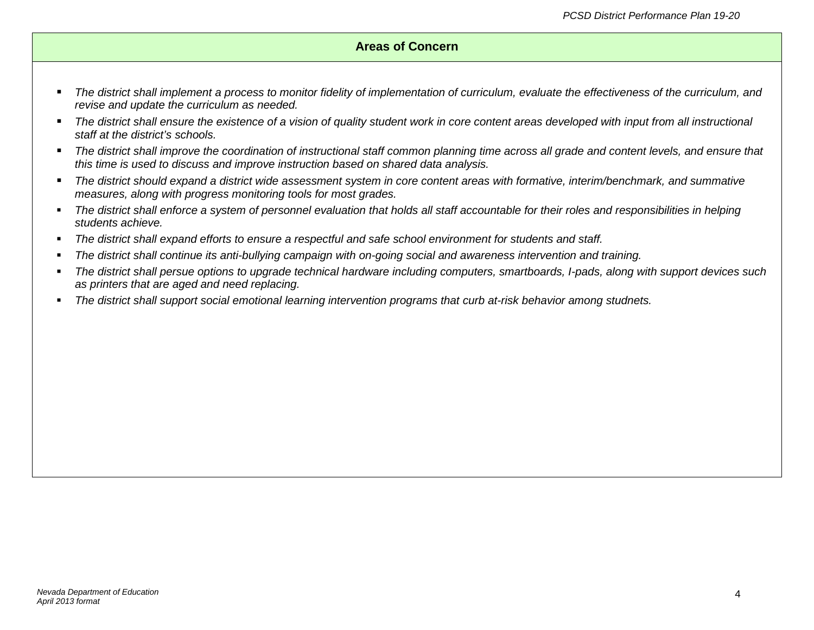#### **Areas of Concern**

- *The district shall implement a process to monitor fidelity of implementation of curriculum, evaluate the effectiveness of the curriculum, and revise and update the curriculum as needed.*
- The district shall ensure the existence of a vision of quality student work in core content areas developed with *input from all instructional staff at the district's schools.*
- *The district shall improve the coordination of instructional staff common planning time across all grade and content levels, and ensure that this time is used to discuss and improve instruction based on shared data analysis.*
- *The district should expand a district wide assessment system in core content areas with formative, interim/benchmark, and summative measures, along with progress monitoring tools for most grades.*
- *The district shall enforce a system of personnel evaluation that holds all staff accountable for their roles and responsibilities in helping students achieve.*
- *The district shall expand efforts to ensure a respectful and safe school environment for students and staff.*
- *The district shall continue its anti-bullying campaign with on-going social and awareness intervention and training.*
- *The district shall persue options to upgrade technical hardware including computers, smartboards, I-pads, along with support devices such as printers that are aged and need replacing.*
- *The district shall support social emotional learning intervention programs that curb at-risk behavior among studnets.*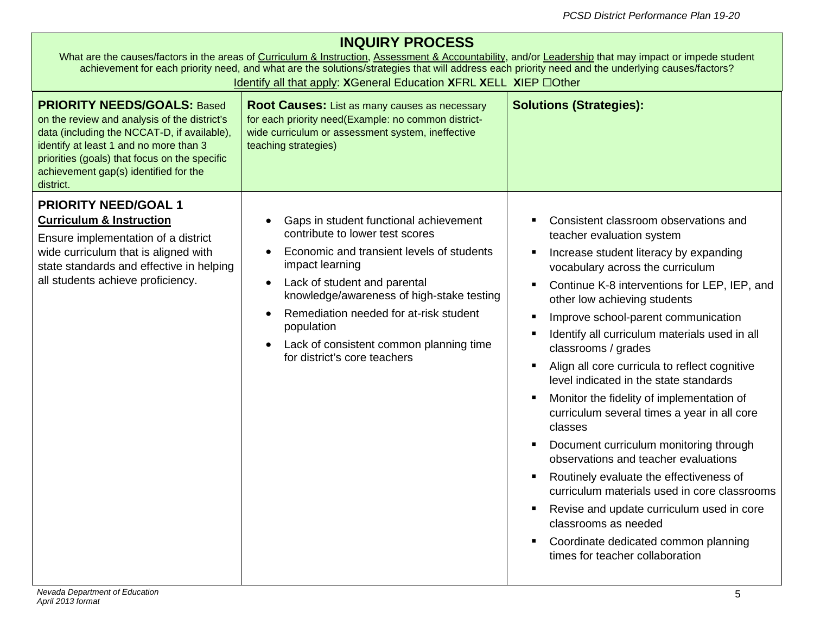|  |  |  | <b>INQUIRY PROCESS</b> |
|--|--|--|------------------------|
|--|--|--|------------------------|

|                                                                                                                                                                                                                                                                                    | What are the causes/factors in the areas of Curriculum & Instruction, Assessment & Accountability, and/or Leadership that may impact or impede student<br>achievement for each priority need, and what are the solutions/strategies that will address each priority need and the underlying causes/factors?<br>Identify all that apply: XGeneral Education XFRL XELL XIEP OCther    |                                                                                                                                                                                                                                                                                                                                                                                                                                                                                                                                                                                                                                                                                                                                                                                                                                                                                |
|------------------------------------------------------------------------------------------------------------------------------------------------------------------------------------------------------------------------------------------------------------------------------------|-------------------------------------------------------------------------------------------------------------------------------------------------------------------------------------------------------------------------------------------------------------------------------------------------------------------------------------------------------------------------------------|--------------------------------------------------------------------------------------------------------------------------------------------------------------------------------------------------------------------------------------------------------------------------------------------------------------------------------------------------------------------------------------------------------------------------------------------------------------------------------------------------------------------------------------------------------------------------------------------------------------------------------------------------------------------------------------------------------------------------------------------------------------------------------------------------------------------------------------------------------------------------------|
| <b>PRIORITY NEEDS/GOALS: Based</b><br>on the review and analysis of the district's<br>data (including the NCCAT-D, if available),<br>identify at least 1 and no more than 3<br>priorities (goals) that focus on the specific<br>achievement gap(s) identified for the<br>district. | <b>Root Causes:</b> List as many causes as necessary<br>for each priority need(Example: no common district-<br>wide curriculum or assessment system, ineffective<br>teaching strategies)                                                                                                                                                                                            | <b>Solutions (Strategies):</b>                                                                                                                                                                                                                                                                                                                                                                                                                                                                                                                                                                                                                                                                                                                                                                                                                                                 |
| <b>PRIORITY NEED/GOAL 1</b><br><b>Curriculum &amp; Instruction</b><br>Ensure implementation of a district<br>wide curriculum that is aligned with<br>state standards and effective in helping<br>all students achieve proficiency.                                                 | Gaps in student functional achievement<br>contribute to lower test scores<br>Economic and transient levels of students<br>impact learning<br>Lack of student and parental<br>$\bullet$<br>knowledge/awareness of high-stake testing<br>Remediation needed for at-risk student<br>population<br>Lack of consistent common planning time<br>$\bullet$<br>for district's core teachers | Consistent classroom observations and<br>teacher evaluation system<br>Increase student literacy by expanding<br>vocabulary across the curriculum<br>Continue K-8 interventions for LEP, IEP, and<br>other low achieving students<br>Improve school-parent communication<br>Identify all curriculum materials used in all<br>classrooms / grades<br>Align all core curricula to reflect cognitive<br>level indicated in the state standards<br>Monitor the fidelity of implementation of<br>curriculum several times a year in all core<br>classes<br>Document curriculum monitoring through<br>observations and teacher evaluations<br>Routinely evaluate the effectiveness of<br>curriculum materials used in core classrooms<br>Revise and update curriculum used in core<br>classrooms as needed<br>Coordinate dedicated common planning<br>times for teacher collaboration |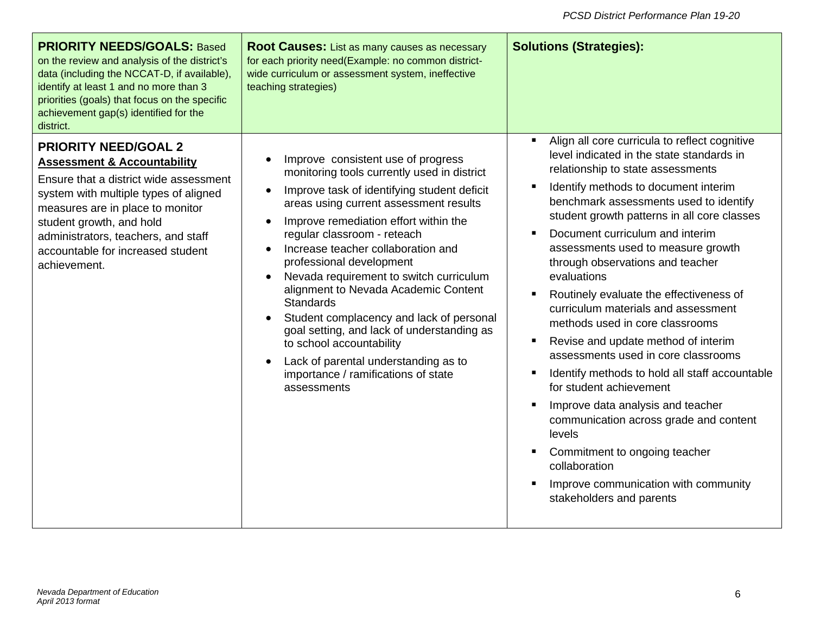| <b>PRIORITY NEEDS/GOALS: Based</b><br>on the review and analysis of the district's<br>data (including the NCCAT-D, if available),<br>identify at least 1 and no more than 3<br>priorities (goals) that focus on the specific<br>achievement gap(s) identified for the<br>district.                                   | <b>Root Causes:</b> List as many causes as necessary<br>for each priority need(Example: no common district-<br>wide curriculum or assessment system, ineffective<br>teaching strategies)                                                                                                                                                                                                                                                                                                                                                                                                                                                                                                                  | <b>Solutions (Strategies):</b>                                                                                                                                                                                                                                                                                                                                                                                                                                                                                                                                                                                                                                                                                                                                                                                                                                                              |
|----------------------------------------------------------------------------------------------------------------------------------------------------------------------------------------------------------------------------------------------------------------------------------------------------------------------|-----------------------------------------------------------------------------------------------------------------------------------------------------------------------------------------------------------------------------------------------------------------------------------------------------------------------------------------------------------------------------------------------------------------------------------------------------------------------------------------------------------------------------------------------------------------------------------------------------------------------------------------------------------------------------------------------------------|---------------------------------------------------------------------------------------------------------------------------------------------------------------------------------------------------------------------------------------------------------------------------------------------------------------------------------------------------------------------------------------------------------------------------------------------------------------------------------------------------------------------------------------------------------------------------------------------------------------------------------------------------------------------------------------------------------------------------------------------------------------------------------------------------------------------------------------------------------------------------------------------|
| <b>PRIORITY NEED/GOAL 2</b><br><b>Assessment &amp; Accountability</b><br>Ensure that a district wide assessment<br>system with multiple types of aligned<br>measures are in place to monitor<br>student growth, and hold<br>administrators, teachers, and staff<br>accountable for increased student<br>achievement. | Improve consistent use of progress<br>$\bullet$<br>monitoring tools currently used in district<br>Improve task of identifying student deficit<br>$\bullet$<br>areas using current assessment results<br>Improve remediation effort within the<br>$\bullet$<br>regular classroom - reteach<br>Increase teacher collaboration and<br>professional development<br>Nevada requirement to switch curriculum<br>$\bullet$<br>alignment to Nevada Academic Content<br>Standards<br>Student complacency and lack of personal<br>goal setting, and lack of understanding as<br>to school accountability<br>Lack of parental understanding as to<br>$\bullet$<br>importance / ramifications of state<br>assessments | Align all core curricula to reflect cognitive<br>level indicated in the state standards in<br>relationship to state assessments<br>Identify methods to document interim<br>benchmark assessments used to identify<br>student growth patterns in all core classes<br>Document curriculum and interim<br>assessments used to measure growth<br>through observations and teacher<br>evaluations<br>Routinely evaluate the effectiveness of<br>curriculum materials and assessment<br>methods used in core classrooms<br>Revise and update method of interim<br>assessments used in core classrooms<br>Identify methods to hold all staff accountable<br>for student achievement<br>Improve data analysis and teacher<br>communication across grade and content<br>levels<br>Commitment to ongoing teacher<br>collaboration<br>Improve communication with community<br>stakeholders and parents |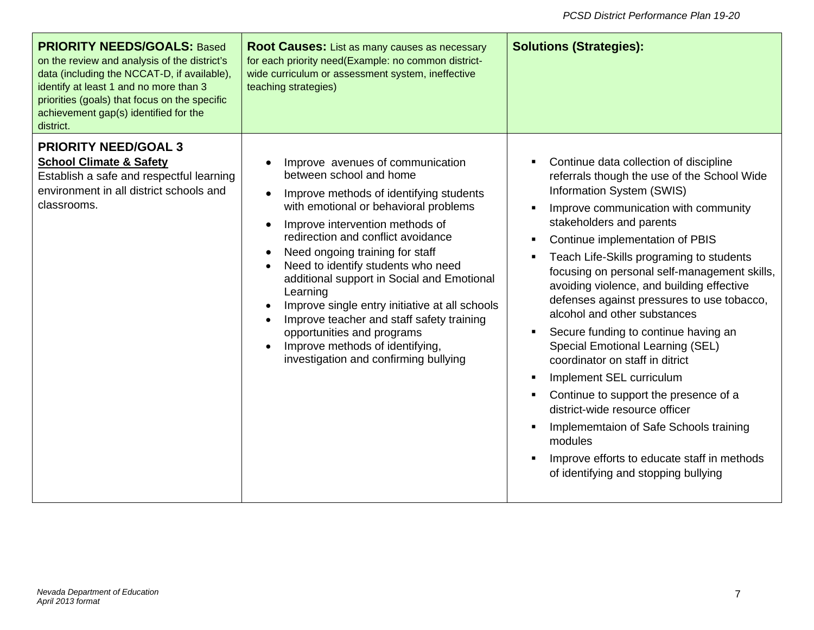| <b>PRIORITY NEEDS/GOALS: Based</b><br>on the review and analysis of the district's<br>data (including the NCCAT-D, if available),<br>identify at least 1 and no more than 3<br>priorities (goals) that focus on the specific<br>achievement gap(s) identified for the<br>district. | <b>Root Causes:</b> List as many causes as necessary<br>for each priority need(Example: no common district-<br>wide curriculum or assessment system, ineffective<br>teaching strategies)                                                                                                                                                                                                                                                                                                                                                                                                                    | <b>Solutions (Strategies):</b>                                                                                                                                                                                                                                                                                                                                                                                                                                                                                                                                                                                                                                                                                                                                                                                            |
|------------------------------------------------------------------------------------------------------------------------------------------------------------------------------------------------------------------------------------------------------------------------------------|-------------------------------------------------------------------------------------------------------------------------------------------------------------------------------------------------------------------------------------------------------------------------------------------------------------------------------------------------------------------------------------------------------------------------------------------------------------------------------------------------------------------------------------------------------------------------------------------------------------|---------------------------------------------------------------------------------------------------------------------------------------------------------------------------------------------------------------------------------------------------------------------------------------------------------------------------------------------------------------------------------------------------------------------------------------------------------------------------------------------------------------------------------------------------------------------------------------------------------------------------------------------------------------------------------------------------------------------------------------------------------------------------------------------------------------------------|
| <b>PRIORITY NEED/GOAL 3</b><br><b>School Climate &amp; Safety</b><br>Establish a safe and respectful learning<br>environment in all district schools and<br>classrooms.                                                                                                            | Improve avenues of communication<br>between school and home<br>Improve methods of identifying students<br>with emotional or behavioral problems<br>Improve intervention methods of<br>$\bullet$<br>redirection and conflict avoidance<br>Need ongoing training for staff<br>$\bullet$<br>Need to identify students who need<br>additional support in Social and Emotional<br>Learning<br>Improve single entry initiative at all schools<br>Improve teacher and staff safety training<br>opportunities and programs<br>Improve methods of identifying,<br>$\bullet$<br>investigation and confirming bullying | Continue data collection of discipline<br>referrals though the use of the School Wide<br>Information System (SWIS)<br>Improve communication with community<br>stakeholders and parents<br>Continue implementation of PBIS<br>Teach Life-Skills programing to students<br>focusing on personal self-management skills,<br>avoiding violence, and building effective<br>defenses against pressures to use tobacco,<br>alcohol and other substances<br>Secure funding to continue having an<br><b>Special Emotional Learning (SEL)</b><br>coordinator on staff in ditrict<br>Implement SEL curriculum<br>Continue to support the presence of a<br>district-wide resource officer<br>Implememtaion of Safe Schools training<br>modules<br>Improve efforts to educate staff in methods<br>of identifying and stopping bullying |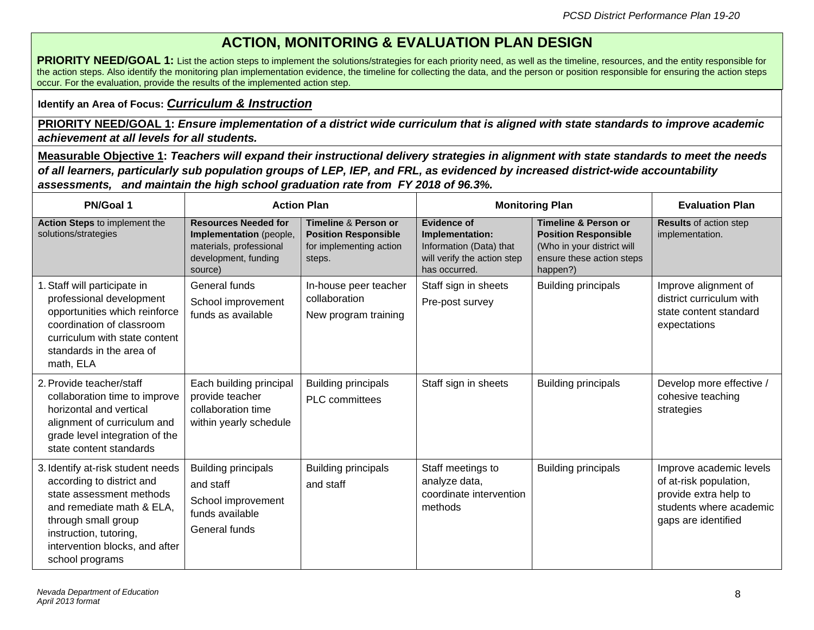## **ACTION, MONITORING & EVALUATION PLAN DESIGN**

**PRIORITY NEED/GOAL 1:** List the action steps to implement the solutions/strategies for each priority need, as well as the timeline, resources, and the entity responsible for the action steps. Also identify the monitoring plan implementation evidence, the timeline for collecting the data, and the person or position responsible for ensuring the action steps occur. For the evaluation, provide the results of the implemented action step.

#### **Identify an Area of Focus:** *Curriculum & Instruction*

**PRIORITY NEED/GOAL 1: Ensure implementation of a district wide curriculum that is aligned with state standards to improve academic** *achievement at all levels for all students.*

**Measurable Objective 1:** *Teachers will expand their instructional delivery strategies in alignment with state standards to meet the needs of all learners, particularly sub population groups of LEP, IEP, and FRL, as evidenced by increased district-wide accountability assessments, and maintain the high school graduation rate from FY 2018 of 96.3%.* 

| <b>PN/Goal 1</b>                                                                                                                                                                                                              |                                                                                                                      | <b>Action Plan</b>                                                                       |                                                                                                                  | <b>Monitoring Plan</b>                                                                                                                | <b>Evaluation Plan</b>                                                                                                       |
|-------------------------------------------------------------------------------------------------------------------------------------------------------------------------------------------------------------------------------|----------------------------------------------------------------------------------------------------------------------|------------------------------------------------------------------------------------------|------------------------------------------------------------------------------------------------------------------|---------------------------------------------------------------------------------------------------------------------------------------|------------------------------------------------------------------------------------------------------------------------------|
| Action Steps to implement the<br>solutions/strategies                                                                                                                                                                         | <b>Resources Needed for</b><br>Implementation (people,<br>materials, professional<br>development, funding<br>source) | Timeline & Person or<br><b>Position Responsible</b><br>for implementing action<br>steps. | <b>Evidence of</b><br>Implementation:<br>Information (Data) that<br>will verify the action step<br>has occurred. | <b>Timeline &amp; Person or</b><br><b>Position Responsible</b><br>(Who in your district will<br>ensure these action steps<br>happen?) | <b>Results of action step</b><br>implementation.                                                                             |
| 1. Staff will participate in<br>professional development<br>opportunities which reinforce<br>coordination of classroom<br>curriculum with state content<br>standards in the area of<br>math, ELA                              | General funds<br>School improvement<br>funds as available                                                            | In-house peer teacher<br>collaboration<br>New program training                           | Staff sign in sheets<br>Pre-post survey                                                                          | <b>Building principals</b>                                                                                                            | Improve alignment of<br>district curriculum with<br>state content standard<br>expectations                                   |
| 2. Provide teacher/staff<br>collaboration time to improve<br>horizontal and vertical<br>alignment of curriculum and<br>grade level integration of the<br>state content standards                                              | Each building principal<br>provide teacher<br>collaboration time<br>within yearly schedule                           | <b>Building principals</b><br><b>PLC</b> committees                                      | Staff sign in sheets                                                                                             | <b>Building principals</b>                                                                                                            | Develop more effective /<br>cohesive teaching<br>strategies                                                                  |
| 3. Identify at-risk student needs<br>according to district and<br>state assessment methods<br>and remediate math & ELA,<br>through small group<br>instruction, tutoring,<br>intervention blocks, and after<br>school programs | <b>Building principals</b><br>and staff<br>School improvement<br>funds available<br>General funds                    | <b>Building principals</b><br>and staff                                                  | Staff meetings to<br>analyze data,<br>coordinate intervention<br>methods                                         | <b>Building principals</b>                                                                                                            | Improve academic levels<br>of at-risk population,<br>provide extra help to<br>students where academic<br>gaps are identified |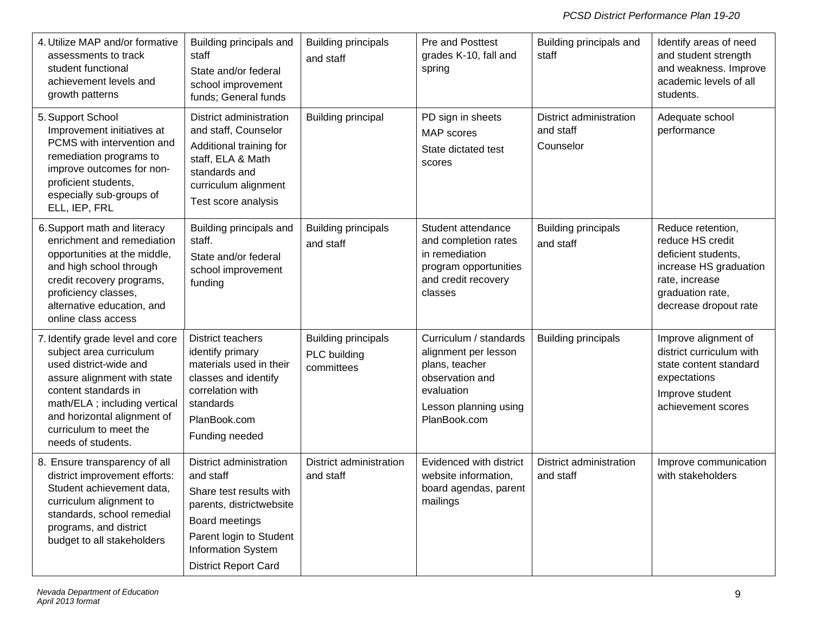| 4. Utilize MAP and/or formative<br>assessments to track<br>student functional<br>achievement levels and<br>growth patterns                                                                                                                                   | Building principals and<br>staff<br>State and/or federal<br>school improvement<br>funds; General funds                                                                                        | <b>Building principals</b><br>and staff                  | Pre and Posttest<br>grades K-10, fall and<br>spring                                                                                        | Building principals and<br>staff                  | Identify areas of need<br>and student strength<br>and weakness. Improve<br>academic levels of all<br>students.                                        |
|--------------------------------------------------------------------------------------------------------------------------------------------------------------------------------------------------------------------------------------------------------------|-----------------------------------------------------------------------------------------------------------------------------------------------------------------------------------------------|----------------------------------------------------------|--------------------------------------------------------------------------------------------------------------------------------------------|---------------------------------------------------|-------------------------------------------------------------------------------------------------------------------------------------------------------|
| 5. Support School<br>Improvement initiatives at<br>PCMS with intervention and<br>remediation programs to<br>improve outcomes for non-<br>proficient students,<br>especially sub-groups of<br>ELL, IEP, FRL                                                   | District administration<br>and staff, Counselor<br>Additional training for<br>staff, ELA & Math<br>standards and<br>curriculum alignment<br>Test score analysis                               | <b>Building principal</b>                                | PD sign in sheets<br><b>MAP</b> scores<br>State dictated test<br>scores                                                                    | District administration<br>and staff<br>Counselor | Adequate school<br>performance                                                                                                                        |
| 6. Support math and literacy<br>enrichment and remediation<br>opportunities at the middle,<br>and high school through<br>credit recovery programs,<br>proficiency classes,<br>alternative education, and<br>online class access                              | Building principals and<br>staff.<br>State and/or federal<br>school improvement<br>funding                                                                                                    | <b>Building principals</b><br>and staff                  | Student attendance<br>and completion rates<br>in remediation<br>program opportunities<br>and credit recovery<br>classes                    | <b>Building principals</b><br>and staff           | Reduce retention,<br>reduce HS credit<br>deficient students,<br>increase HS graduation<br>rate, increase<br>graduation rate,<br>decrease dropout rate |
| 7. Identify grade level and core<br>subject area curriculum<br>used district-wide and<br>assure alignment with state<br>content standards in<br>math/ELA ; including vertical<br>and horizontal alignment of<br>curriculum to meet the<br>needs of students. | District teachers<br>identify primary<br>materials used in their<br>classes and identify<br>correlation with<br>standards<br>PlanBook.com<br>Funding needed                                   | <b>Building principals</b><br>PLC building<br>committees | Curriculum / standards<br>alignment per lesson<br>plans, teacher<br>observation and<br>evaluation<br>Lesson planning using<br>PlanBook.com | <b>Building principals</b>                        | Improve alignment of<br>district curriculum with<br>state content standard<br>expectations<br>Improve student<br>achievement scores                   |
| 8. Ensure transparency of all<br>district improvement efforts:<br>Student achievement data,<br>curriculum alignment to<br>standards, school remedial<br>programs, and district<br>budget to all stakeholders                                                 | District administration<br>and staff<br>Share test results with<br>parents, districtwebsite<br>Board meetings<br>Parent login to Student<br>Information System<br><b>District Report Card</b> | District administration<br>and staff                     | Evidenced with district<br>website information,<br>board agendas, parent<br>mailings                                                       | District administration<br>and staff              | Improve communication<br>with stakeholders                                                                                                            |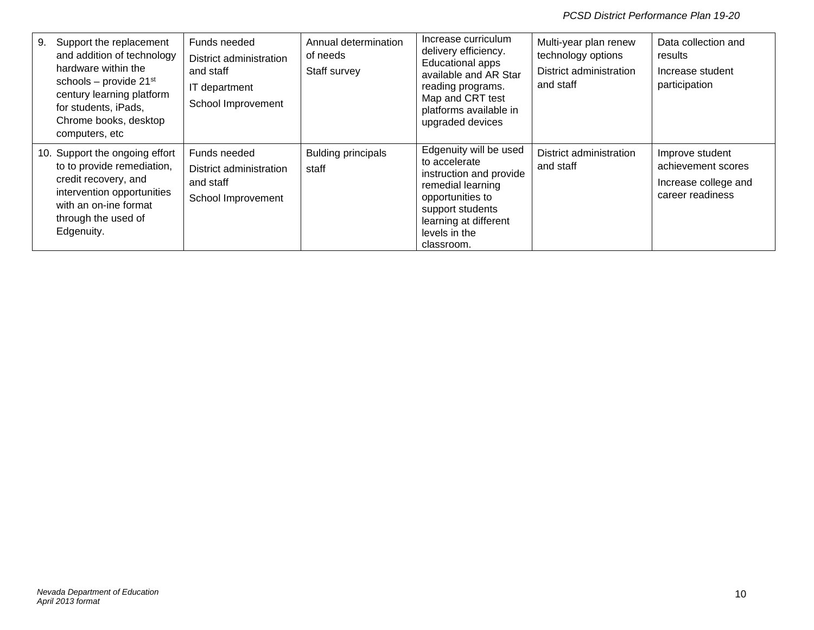| Support the replacement<br>9.<br>and addition of technology<br>hardware within the<br>schools - provide $21st$<br>century learning platform<br>for students, iPads,<br>Chrome books, desktop<br>computers, etc | Funds needed<br>District administration<br>and staff<br>IT department<br>School Improvement | Annual determination<br>of needs<br>Staff survey | Increase curriculum<br>delivery efficiency.<br><b>Educational apps</b><br>available and AR Star<br>reading programs.<br>Map and CRT test<br>platforms available in<br>upgraded devices  | Multi-year plan renew<br>technology options<br>District administration<br>and staff | Data collection and<br>results<br>Increase student<br>participation               |
|----------------------------------------------------------------------------------------------------------------------------------------------------------------------------------------------------------------|---------------------------------------------------------------------------------------------|--------------------------------------------------|-----------------------------------------------------------------------------------------------------------------------------------------------------------------------------------------|-------------------------------------------------------------------------------------|-----------------------------------------------------------------------------------|
| 10. Support the ongoing effort<br>to to provide remediation,<br>credit recovery, and<br>intervention opportunities<br>with an on-ine format<br>through the used of<br>Edgenuity.                               | Funds needed<br>District administration<br>and staff<br>School Improvement                  | <b>Bulding principals</b><br>staff               | Edgenuity will be used<br>to accelerate<br>instruction and provide<br>remedial learning<br>opportunities to<br>support students<br>learning at different<br>levels in the<br>classroom. | District administration<br>and staff                                                | Improve student<br>achievement scores<br>Increase college and<br>career readiness |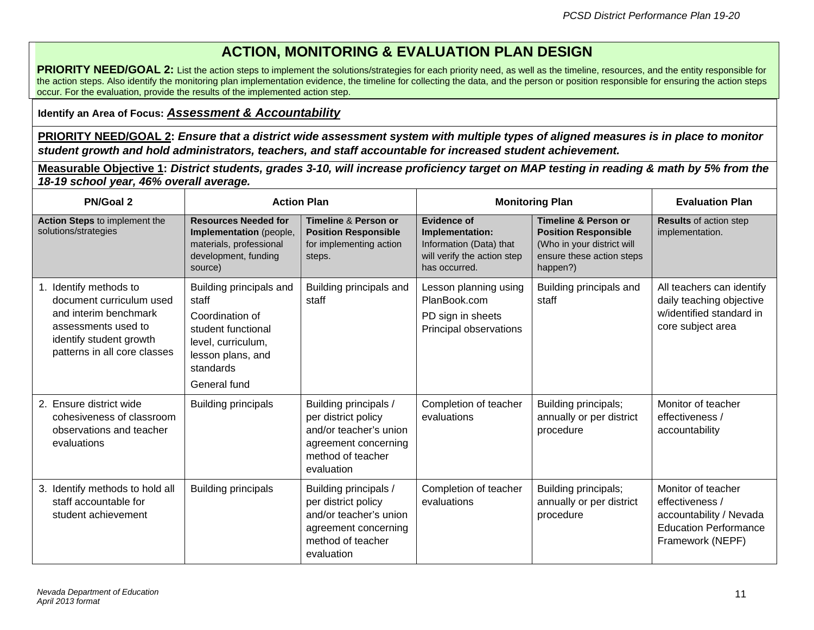## **ACTION, MONITORING & EVALUATION PLAN DESIGN**

**PRIORITY NEED/GOAL 2:** List the action steps to implement the solutions/strategies for each priority need, as well as the timeline, resources, and the entity responsible for the action steps. Also identify the monitoring plan implementation evidence, the timeline for collecting the data, and the person or position responsible for ensuring the action steps occur. For the evaluation, provide the results of the implemented action step.

#### **Identify an Area of Focus:** *Assessment & Accountability*

**PRIORITY NEED/GOAL 2:** *Ensure that a district wide assessment system with multiple types of aligned measures is in place to monitor student growth and hold administrators, teachers, and staff accountable for increased student achievement.*

**Measurable Objective 1:** *District students, grades 3-10, will increase proficiency target on MAP testing in reading & math by 5% from the 18-19 school year, 46% overall average.*

| <b>PN/Goal 2</b>                                                                                                                                              |                                                                                                                                                   | <b>Action Plan</b>                                                                                                                | <b>Monitoring Plan</b>                                                                                           |                                                                                                                                       | <b>Evaluation Plan</b>                                                                                               |
|---------------------------------------------------------------------------------------------------------------------------------------------------------------|---------------------------------------------------------------------------------------------------------------------------------------------------|-----------------------------------------------------------------------------------------------------------------------------------|------------------------------------------------------------------------------------------------------------------|---------------------------------------------------------------------------------------------------------------------------------------|----------------------------------------------------------------------------------------------------------------------|
| Action Steps to implement the<br>solutions/strategies                                                                                                         | <b>Resources Needed for</b><br>Implementation (people,<br>materials, professional<br>development, funding<br>source)                              | <b>Timeline &amp; Person or</b><br><b>Position Responsible</b><br>for implementing action<br>steps.                               | <b>Evidence of</b><br>Implementation:<br>Information (Data) that<br>will verify the action step<br>has occurred. | <b>Timeline &amp; Person or</b><br><b>Position Responsible</b><br>(Who in your district will<br>ensure these action steps<br>happen?) | <b>Results of action step</b><br>implementation.                                                                     |
| 1. Identify methods to<br>document curriculum used<br>and interim benchmark<br>assessments used to<br>identify student growth<br>patterns in all core classes | Building principals and<br>staff<br>Coordination of<br>student functional<br>level, curriculum,<br>lesson plans, and<br>standards<br>General fund | Building principals and<br>staff                                                                                                  | Lesson planning using<br>PlanBook.com<br>PD sign in sheets<br>Principal observations                             | Building principals and<br>staff                                                                                                      | All teachers can identify<br>daily teaching objective<br>w/identified standard in<br>core subject area               |
| 2. Ensure district wide<br>cohesiveness of classroom<br>observations and teacher<br>evaluations                                                               | <b>Building principals</b>                                                                                                                        | Building principals /<br>per district policy<br>and/or teacher's union<br>agreement concerning<br>method of teacher<br>evaluation | Completion of teacher<br>evaluations                                                                             | Building principals;<br>annually or per district<br>procedure                                                                         | Monitor of teacher<br>effectiveness /<br>accountability                                                              |
| 3. Identify methods to hold all<br>staff accountable for<br>student achievement                                                                               | <b>Building principals</b>                                                                                                                        | Building principals /<br>per district policy<br>and/or teacher's union<br>agreement concerning<br>method of teacher<br>evaluation | Completion of teacher<br>evaluations                                                                             | Building principals;<br>annually or per district<br>procedure                                                                         | Monitor of teacher<br>effectiveness /<br>accountability / Nevada<br><b>Education Performance</b><br>Framework (NEPF) |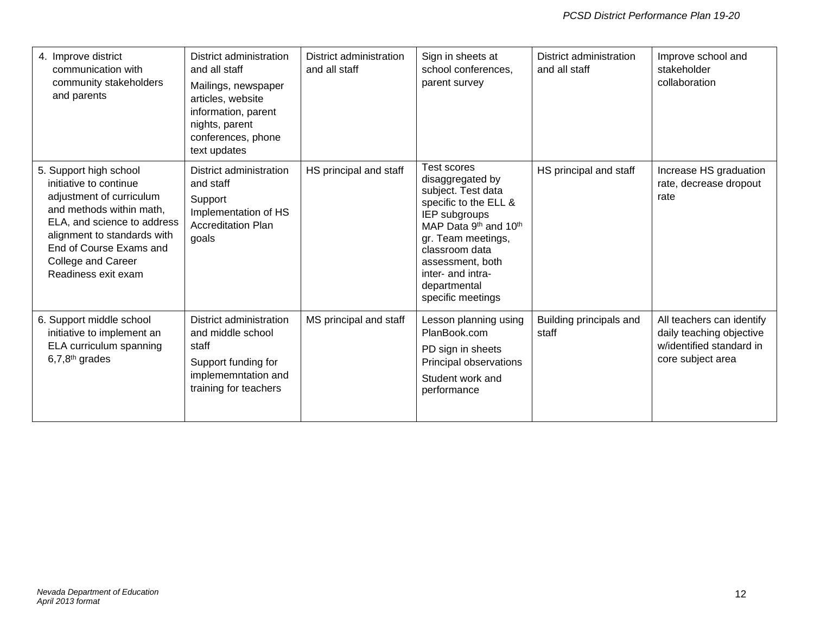| 4. Improve district<br>communication with<br>community stakeholders<br>and parents                                                                                                                                                             | District administration<br>and all staff<br>Mailings, newspaper<br>articles, website<br>information, parent<br>nights, parent<br>conferences, phone<br>text updates | District administration<br>and all staff | Sign in sheets at<br>school conferences,<br>parent survey                                                                                                                                                                                      | District administration<br>and all staff | Improve school and<br>stakeholder<br>collaboration                                                     |
|------------------------------------------------------------------------------------------------------------------------------------------------------------------------------------------------------------------------------------------------|---------------------------------------------------------------------------------------------------------------------------------------------------------------------|------------------------------------------|------------------------------------------------------------------------------------------------------------------------------------------------------------------------------------------------------------------------------------------------|------------------------------------------|--------------------------------------------------------------------------------------------------------|
| 5. Support high school<br>initiative to continue<br>adjustment of curriculum<br>and methods within math,<br>ELA, and science to address<br>alignment to standards with<br>End of Course Exams and<br>College and Career<br>Readiness exit exam | District administration<br>and staff<br>Support<br>Implementation of HS<br><b>Accreditation Plan</b><br>goals                                                       | HS principal and staff                   | Test scores<br>disaggregated by<br>subject. Test data<br>specific to the ELL &<br>IEP subgroups<br>MAP Data 9th and 10th<br>gr. Team meetings,<br>classroom data<br>assessment, both<br>inter- and intra-<br>departmental<br>specific meetings | HS principal and staff                   | Increase HS graduation<br>rate, decrease dropout<br>rate                                               |
| 6. Support middle school<br>initiative to implement an<br>ELA curriculum spanning<br>$6,7,8$ <sup>th</sup> grades                                                                                                                              | District administration<br>and middle school<br>staff<br>Support funding for<br>implememntation and<br>training for teachers                                        | MS principal and staff                   | Lesson planning using<br>PlanBook.com<br>PD sign in sheets<br>Principal observations<br>Student work and<br>performance                                                                                                                        | Building principals and<br>staff         | All teachers can identify<br>daily teaching objective<br>w/identified standard in<br>core subject area |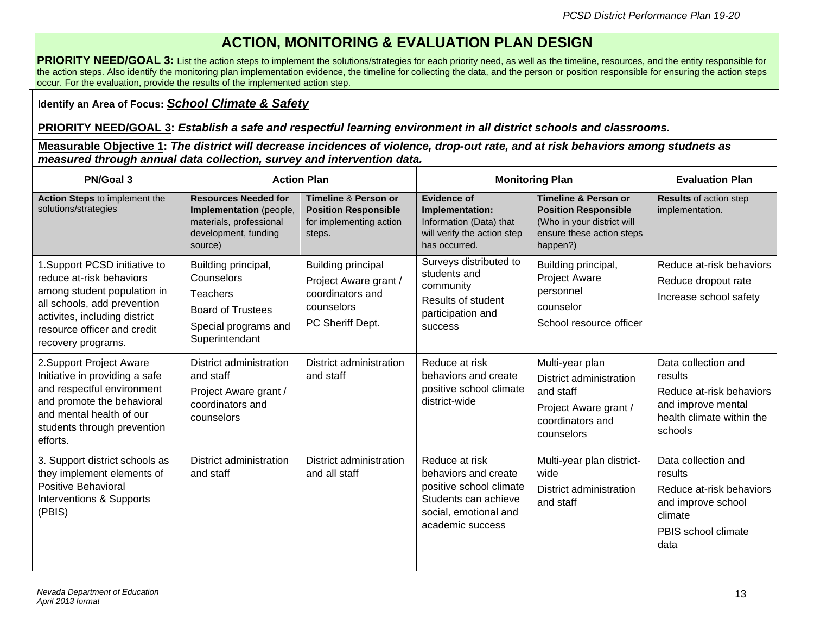## **ACTION, MONITORING & EVALUATION PLAN DESIGN**

**PRIORITY NEED/GOAL 3:** List the action steps to implement the solutions/strategies for each priority need, as well as the timeline, resources, and the entity responsible for the action steps. Also identify the monitoring plan implementation evidence, the timeline for collecting the data, and the person or position responsible for ensuring the action steps occur. For the evaluation, provide the results of the implemented action step.

#### **Identify an Area of Focus:** *School Climate & Safety*

#### **PRIORITY NEED/GOAL 3:** *Establish a safe and respectful learning environment in all district schools and classrooms.*

**Measurable Objective 1:** *The district will decrease incidences of violence, drop-out rate, and at risk behaviors among studnets as measured through annual data collection, survey and intervention data.*

| PN/Goal 3                                                                                                                                                                                                     |                                                                                                                      | <b>Action Plan</b>                                                                                       | <b>Monitoring Plan</b>                                                                                                                 |                                                                                                                                       | <b>Evaluation Plan</b>                                                                                                     |
|---------------------------------------------------------------------------------------------------------------------------------------------------------------------------------------------------------------|----------------------------------------------------------------------------------------------------------------------|----------------------------------------------------------------------------------------------------------|----------------------------------------------------------------------------------------------------------------------------------------|---------------------------------------------------------------------------------------------------------------------------------------|----------------------------------------------------------------------------------------------------------------------------|
| Action Steps to implement the<br>solutions/strategies                                                                                                                                                         | <b>Resources Needed for</b><br>Implementation (people,<br>materials, professional<br>development, funding<br>source) | <b>Timeline &amp; Person or</b><br><b>Position Responsible</b><br>for implementing action<br>steps.      | <b>Evidence of</b><br>Implementation:<br>Information (Data) that<br>will verify the action step<br>has occurred.                       | <b>Timeline &amp; Person or</b><br><b>Position Responsible</b><br>(Who in your district will<br>ensure these action steps<br>happen?) | <b>Results of action step</b><br>implementation.                                                                           |
| 1. Support PCSD initiative to<br>reduce at-risk behaviors<br>among student population in<br>all schools, add prevention<br>activites, including district<br>resource officer and credit<br>recovery programs. | Building principal,<br>Counselors<br>Teachers<br><b>Board of Trustees</b><br>Special programs and<br>Superintendant  | <b>Building principal</b><br>Project Aware grant /<br>coordinators and<br>counselors<br>PC Sheriff Dept. | Surveys distributed to<br>students and<br>community<br>Results of student<br>participation and<br>success                              | Building principal,<br><b>Project Aware</b><br>personnel<br>counselor<br>School resource officer                                      | Reduce at-risk behaviors<br>Reduce dropout rate<br>Increase school safety                                                  |
| 2. Support Project Aware<br>Initiative in providing a safe<br>and respectful environment<br>and promote the behavioral<br>and mental health of our<br>students through prevention<br>efforts.                 | District administration<br>and staff<br>Project Aware grant /<br>coordinators and<br>counselors                      | District administration<br>and staff                                                                     | Reduce at risk<br>behaviors and create<br>positive school climate<br>district-wide                                                     | Multi-year plan<br>District administration<br>and staff<br>Project Aware grant /<br>coordinators and<br>counselors                    | Data collection and<br>results<br>Reduce at-risk behaviors<br>and improve mental<br>health climate within the<br>schools   |
| 3. Support district schools as<br>they implement elements of<br>Positive Behavioral<br>Interventions & Supports<br>(PBIS)                                                                                     | District administration<br>and staff                                                                                 | District administration<br>and all staff                                                                 | Reduce at risk<br>behaviors and create<br>positive school climate<br>Students can achieve<br>social, emotional and<br>academic success | Multi-year plan district-<br>wide<br>District administration<br>and staff                                                             | Data collection and<br>results<br>Reduce at-risk behaviors<br>and improve school<br>climate<br>PBIS school climate<br>data |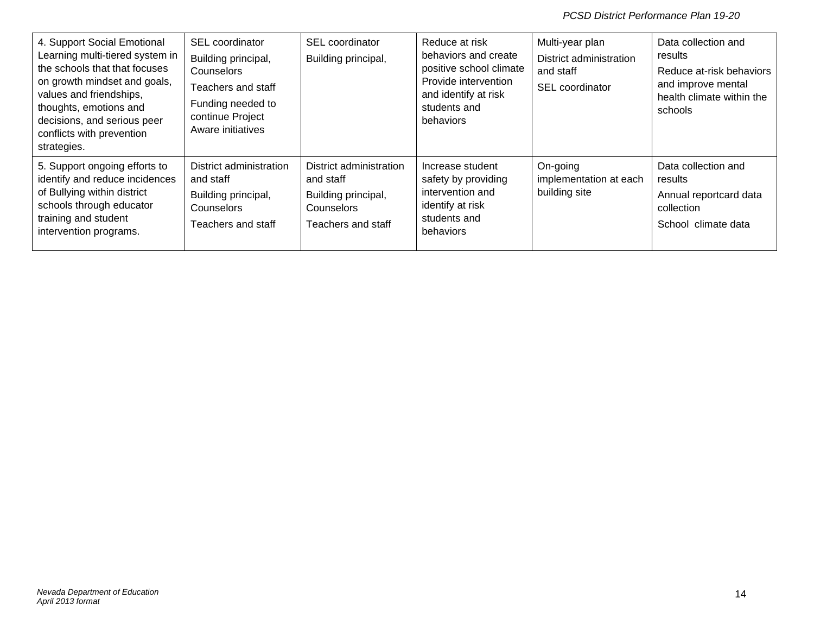| 4. Support Social Emotional<br>Learning multi-tiered system in<br>the schools that that focuses<br>on growth mindset and goals,<br>values and friendships,<br>thoughts, emotions and<br>decisions, and serious peer<br>conflicts with prevention<br>strategies. | SEL coordinator<br>Building principal,<br><b>Counselors</b><br>Teachers and staff<br>Funding needed to<br>continue Project<br>Aware initiatives | <b>SEL</b> coordinator<br>Building principal,                                                   | Reduce at risk<br>behaviors and create<br>positive school climate<br>Provide intervention<br>and identify at risk<br>students and<br>behaviors | Multi-year plan<br>District administration<br>and staff<br>SEL coordinator | Data collection and<br>results<br>Reduce at-risk behaviors<br>and improve mental<br>health climate within the<br>schools |
|-----------------------------------------------------------------------------------------------------------------------------------------------------------------------------------------------------------------------------------------------------------------|-------------------------------------------------------------------------------------------------------------------------------------------------|-------------------------------------------------------------------------------------------------|------------------------------------------------------------------------------------------------------------------------------------------------|----------------------------------------------------------------------------|--------------------------------------------------------------------------------------------------------------------------|
| 5. Support ongoing efforts to<br>identify and reduce incidences<br>of Bullying within district<br>schools through educator<br>training and student<br>intervention programs.                                                                                    | District administration<br>and staff<br>Building principal,<br>Counselors<br>Teachers and staff                                                 | District administration<br>and staff<br>Building principal,<br>Counselors<br>Teachers and staff | Increase student<br>safety by providing<br>intervention and<br>identify at risk<br>students and<br>behaviors                                   | On-going<br>implementation at each<br>building site                        | Data collection and<br>results<br>Annual reportcard data<br>collection<br>School climate data                            |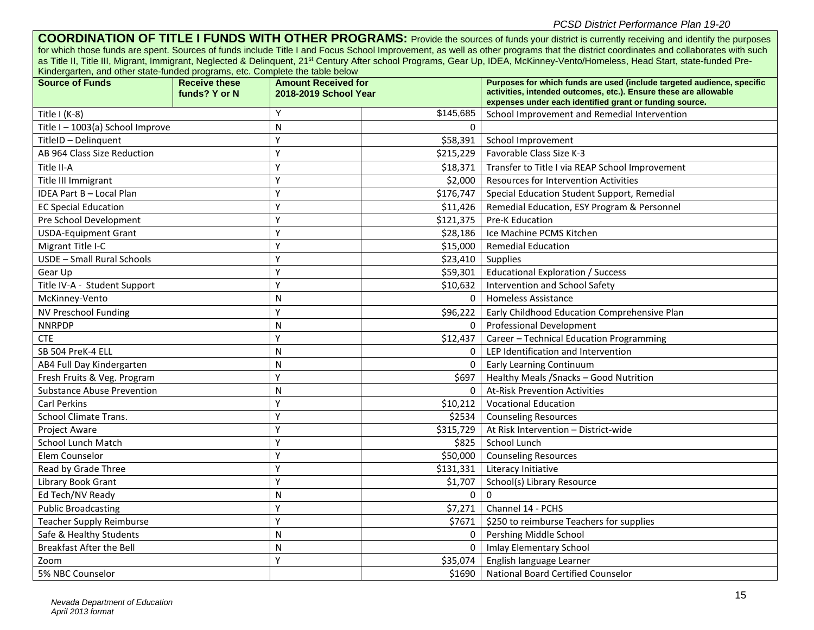**COORDINATION OF TITLE I FUNDS WITH OTHER PROGRAMS:** Provide the sources of funds your district is currently receiving and identify the purposes for which those funds are spent. Sources of funds include Title I and Focus School Improvement, as well as other programs that the district coordinates and collaborates with such as Title II, Title III, Migrant, Immigrant, Neglected & Delinquent, 21<sup>st</sup> Century After school Programs, Gear Up, IDEA, McKinney-Vento/Homeless, Head Start, state-funded Pre-Kindergarten, and other state-funded programs, etc. Complete the table below

| <b>Source of Funds</b>            | <b>Receive these</b><br>funds? Y or N | <b>Amount Received for</b><br>2018-2019 School Year |           | Purposes for which funds are used (include targeted audience, specific<br>activities, intended outcomes, etc.). Ensure these are allowable |  |
|-----------------------------------|---------------------------------------|-----------------------------------------------------|-----------|--------------------------------------------------------------------------------------------------------------------------------------------|--|
| Title $I(K-8)$                    |                                       | Υ                                                   | \$145,685 | expenses under each identified grant or funding source.<br>School Improvement and Remedial Intervention                                    |  |
| Title I-1003(a) School Improve    |                                       | N                                                   | $\Omega$  |                                                                                                                                            |  |
| TitleID - Delinquent              |                                       | Y                                                   | \$58,391  | School Improvement                                                                                                                         |  |
| AB 964 Class Size Reduction       |                                       | Y                                                   | \$215,229 | Favorable Class Size K-3                                                                                                                   |  |
| Title II-A                        |                                       | Y                                                   | \$18,371  | Transfer to Title I via REAP School Improvement                                                                                            |  |
| Title III Immigrant               |                                       | Y                                                   | \$2,000   | Resources for Intervention Activities                                                                                                      |  |
| IDEA Part B - Local Plan          |                                       | Y                                                   | \$176,747 | Special Education Student Support, Remedial                                                                                                |  |
| <b>EC Special Education</b>       |                                       | Y                                                   | \$11,426  | Remedial Education, ESY Program & Personnel                                                                                                |  |
| Pre School Development            |                                       | Υ                                                   | \$121,375 | Pre-K Education                                                                                                                            |  |
| <b>USDA-Equipment Grant</b>       |                                       | Y                                                   | \$28,186  | Ice Machine PCMS Kitchen                                                                                                                   |  |
| Migrant Title I-C                 |                                       | Υ                                                   | \$15,000  | <b>Remedial Education</b>                                                                                                                  |  |
| USDE - Small Rural Schools        |                                       | Y                                                   | \$23,410  | <b>Supplies</b>                                                                                                                            |  |
| Gear Up                           |                                       | Υ                                                   | \$59,301  | <b>Educational Exploration / Success</b>                                                                                                   |  |
| Title IV-A - Student Support      |                                       | Υ                                                   | \$10,632  | Intervention and School Safety                                                                                                             |  |
| McKinney-Vento                    |                                       | N                                                   | $\Omega$  | <b>Homeless Assistance</b>                                                                                                                 |  |
| NV Preschool Funding              |                                       | Υ                                                   | \$96,222  | Early Childhood Education Comprehensive Plan                                                                                               |  |
| <b>NNRPDP</b>                     |                                       | N                                                   | $\Omega$  | <b>Professional Development</b>                                                                                                            |  |
| <b>CTE</b>                        |                                       | Y                                                   | \$12,437  | Career - Technical Education Programming                                                                                                   |  |
| SB 504 PreK-4 ELL                 |                                       | N                                                   | $\Omega$  | LEP Identification and Intervention                                                                                                        |  |
| AB4 Full Day Kindergarten         |                                       | N                                                   | $\Omega$  | <b>Early Learning Continuum</b>                                                                                                            |  |
| Fresh Fruits & Veg. Program       |                                       | Υ                                                   | \$697     | Healthy Meals / Snacks - Good Nutrition                                                                                                    |  |
| <b>Substance Abuse Prevention</b> |                                       | N                                                   | $\Omega$  | <b>At-Risk Prevention Activities</b>                                                                                                       |  |
| <b>Carl Perkins</b>               |                                       | Y                                                   | \$10,212  | <b>Vocational Education</b>                                                                                                                |  |
| <b>School Climate Trans.</b>      |                                       | Y                                                   | \$2534    | <b>Counseling Resources</b>                                                                                                                |  |
| <b>Project Aware</b>              |                                       | Y                                                   | \$315,729 | At Risk Intervention - District-wide                                                                                                       |  |
| School Lunch Match                |                                       | Y                                                   | \$825     | School Lunch                                                                                                                               |  |
| Elem Counselor                    |                                       | Y                                                   | \$50,000  | <b>Counseling Resources</b>                                                                                                                |  |
| Read by Grade Three               |                                       | Y                                                   | \$131,331 | Literacy Initiative                                                                                                                        |  |
| Library Book Grant                |                                       | Y                                                   | \$1,707   | School(s) Library Resource                                                                                                                 |  |
| Ed Tech/NV Ready                  |                                       | N                                                   | $\Omega$  | $\Omega$                                                                                                                                   |  |
| <b>Public Broadcasting</b>        |                                       | Υ                                                   | \$7,271   | Channel 14 - PCHS                                                                                                                          |  |
| <b>Teacher Supply Reimburse</b>   |                                       | Υ                                                   | \$7671    | \$250 to reimburse Teachers for supplies                                                                                                   |  |
| Safe & Healthy Students           |                                       | N                                                   | 0         | Pershing Middle School                                                                                                                     |  |
| <b>Breakfast After the Bell</b>   |                                       | N                                                   | $\Omega$  | <b>Imlay Elementary School</b>                                                                                                             |  |
| Zoom                              |                                       | Υ                                                   | \$35,074  | English language Learner                                                                                                                   |  |
| 5% NBC Counselor                  |                                       |                                                     | \$1690    | <b>National Board Certified Counselor</b>                                                                                                  |  |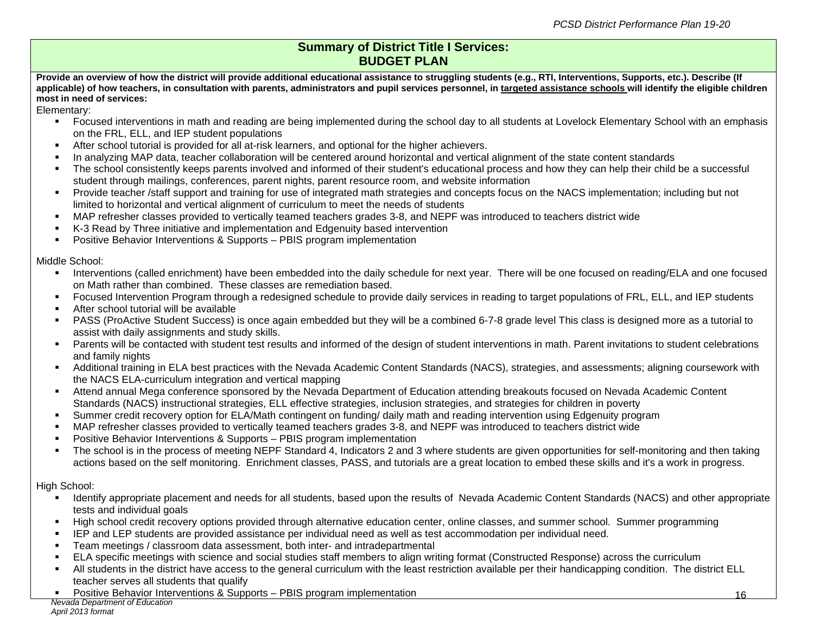#### **Summary of District Title I Services: BUDGET PLAN**

Provide an overview of how the district will provide additional educational assistance to struggling students (e.g., RTI, Interventions, Supports, etc.). Describe (If **applicable) of how teachers, in consultation with parents, administrators and pupil services personnel, in targeted assistance schools will identify the eligible children most in need of services:**

Elementary:

- Focused interventions in math and reading are being implemented during the school day to all students at Lovelock Elementary School with an emphasis on the FRL, ELL, and IEP student populations
- After school tutorial is provided for all at-risk learners, and optional for the higher achievers.
- In analyzing MAP data, teacher collaboration will be centered around horizontal and vertical alignment of the state content standards
- The school consistently keeps parents involved and informed of their student's educational process and how they can help their child be a successful student through mailings, conferences, parent nights, parent resource room, and website information
- Provide teacher /staff support and training for use of integrated math strategies and concepts focus on the NACS implementation; including but not limited to horizontal and vertical alignment of curriculum to meet the needs of students
- MAP refresher classes provided to vertically teamed teachers grades 3-8, and NEPF was introduced to teachers district wide
- K-3 Read by Three initiative and implementation and Edgenuity based intervention
- Positive Behavior Interventions & Supports PBIS program implementation

#### Middle School:

- Interventions (called enrichment) have been embedded into the daily schedule for next year. There will be one focused on reading/ELA and one focused on Math rather than combined. These classes are remediation based.
- Focused Intervention Program through a redesigned schedule to provide daily services in reading to target populations of FRL, ELL, and IEP students
- **After school tutorial will be available**
- PASS (ProActive Student Success) is once again embedded but they will be a combined 6-7-8 grade level This class is designed more as a tutorial to assist with daily assignments and study skills.
- **Parents will be contacted with student test results and informed of the design of student interventions in math. Parent invitations to student celebrations** and family nights
- Additional training in ELA best practices with the Nevada Academic Content Standards (NACS), strategies, and assessments; aligning coursework with the NACS ELA-curriculum integration and vertical mapping
- Attend annual Mega conference sponsored by the Nevada Department of Education attending breakouts focused on Nevada Academic Content Standards (NACS) instructional strategies, ELL effective strategies, inclusion strategies, and strategies for children in poverty
- Summer credit recovery option for ELA/Math contingent on funding/ daily math and reading intervention using Edgenuity program
- MAP refresher classes provided to vertically teamed teachers grades 3-8, and NEPF was introduced to teachers district wide
- Positive Behavior Interventions & Supports PBIS program implementation
- The school is in the process of meeting NEPF Standard 4, Indicators 2 and 3 where students are given opportunities for self-monitoring and then taking actions based on the self monitoring. Enrichment classes, PASS, and tutorials are a great location to embed these skills and it's a work in progress.

#### High School:

- Identify appropriate placement and needs for all students, based upon the results of Nevada Academic Content Standards (NACS) and other appropriate tests and individual goals
- High school credit recovery options provided through alternative education center, online classes, and summer school. Summer programming
- **IEP** and LEP students are provided assistance per individual need as well as test accommodation per individual need.
- Team meetings / classroom data assessment, both inter- and intradepartmental<br>■ ELA specific meetings with science and social studies staff members to align writ
- ELA specific meetings with science and social studies staff members to align writing format (Constructed Response) across the curriculum
- All students in the district have access to the general curriculum with the least restriction available per their handicapping condition. The district ELL teacher serves all students that qualify
- **•** Positive Behavior Interventions & Supports PBIS program implementation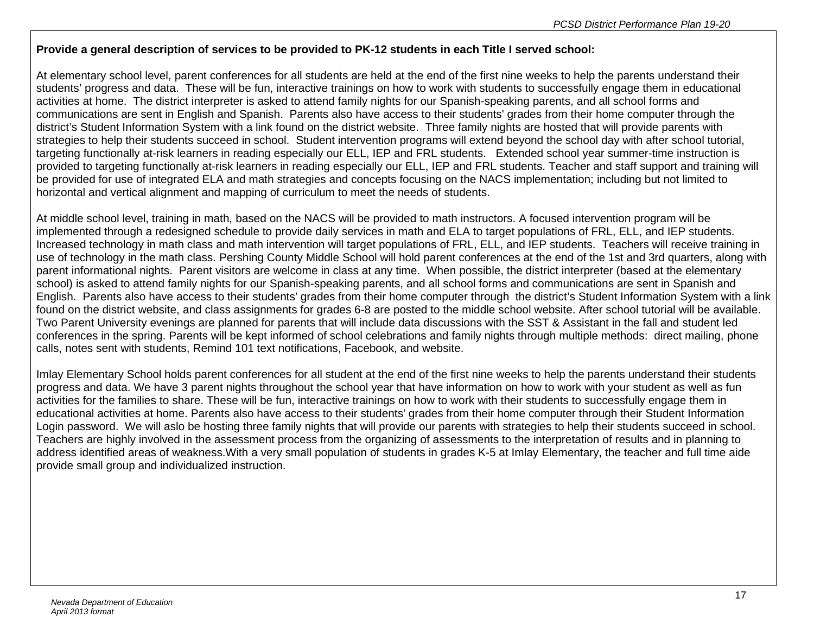#### **Provide a general description of services to be provided to PK-12 students in each Title I served school:**

At elementary school level, parent conferences for all students are held at the end of the first nine weeks to help the parents understand their students' progress and data. These will be fun, interactive trainings on how to work with students to successfully engage them in educational activities at home. The district interpreter is asked to attend family nights for our Spanish-speaking parents, and all school forms and communications are sent in English and Spanish. Parents also have access to their students' grades from their home computer through the district's Student Information System with a link found on the district website. Three family nights are hosted that will provide parents with strategies to help their students succeed in school. Student intervention programs will extend beyond the school day with after school tutorial, targeting functionally at-risk learners in reading especially our ELL, IEP and FRL students. Extended school year summer-time instruction is provided to targeting functionally at-risk learners in reading especially our ELL, IEP and FRL students. Teacher and staff support and training will be provided for use of integrated ELA and math strategies and concepts focusing on the NACS implementation; including but not limited to horizontal and vertical alignment and mapping of curriculum to meet the needs of students.

At middle school level, training in math, based on the NACS will be provided to math instructors. A focused intervention program will be implemented through a redesigned schedule to provide daily services in math and ELA to target populations of FRL, ELL, and IEP students. Increased technology in math class and math intervention will target populations of FRL, ELL, and IEP students. Teachers will receive training in use of technology in the math class. Pershing County Middle School will hold parent conferences at the end of the 1st and 3rd quarters, along with parent informational nights. Parent visitors are welcome in class at any time. When possible, the district interpreter (based at the elementary school) is asked to attend family nights for our Spanish-speaking parents, and all school forms and communications are sent in Spanish and English. Parents also have access to their students' grades from their home computer through the district's Student Information System with a link found on the district website, and class assignments for grades 6-8 are posted to the middle school website. After school tutorial will be available. Two Parent University evenings are planned for parents that will include data discussions with the SST & Assistant in the fall and student led conferences in the spring. Parents will be kept informed of school celebrations and family nights through multiple methods: direct mailing, phone calls, notes sent with students, Remind 101 text notifications, Facebook, and website.

Imlay Elementary School holds parent conferences for all student at the end of the first nine weeks to help the parents understand their students progress and data. We have 3 parent nights throughout the school year that have information on how to work with your student as well as fun activities for the families to share. These will be fun, interactive trainings on how to work with their students to successfully engage them in educational activities at home. Parents also have access to their students' grades from their home computer through their Student Information Login password. We will aslo be hosting three family nights that will provide our parents with strategies to help their students succeed in school. Teachers are highly involved in the assessment process from the organizing of assessments to the interpretation of results and in planning to address identified areas of weakness.With a very small population of students in grades K-5 at Imlay Elementary, the teacher and full time aide provide small group and individualized instruction.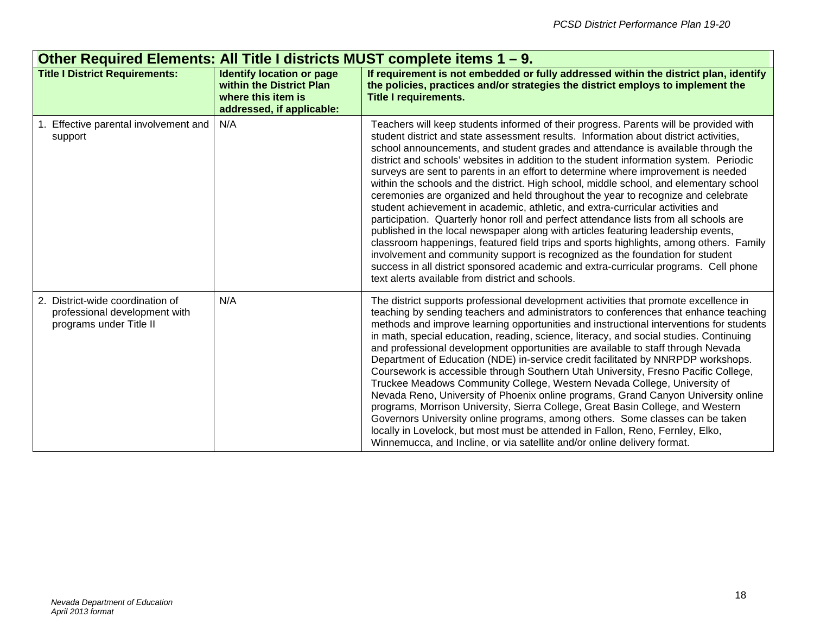| Other Required Elements: All Title I districts MUST complete items 1 – 9.                    |                                                                                                                 |                                                                                                                                                                                                                                                                                                                                                                                                                                                                                                                                                                                                                                                                                                                                                                                                                                                                                                                                                                                                                                                                                                                                                                                                                        |  |  |
|----------------------------------------------------------------------------------------------|-----------------------------------------------------------------------------------------------------------------|------------------------------------------------------------------------------------------------------------------------------------------------------------------------------------------------------------------------------------------------------------------------------------------------------------------------------------------------------------------------------------------------------------------------------------------------------------------------------------------------------------------------------------------------------------------------------------------------------------------------------------------------------------------------------------------------------------------------------------------------------------------------------------------------------------------------------------------------------------------------------------------------------------------------------------------------------------------------------------------------------------------------------------------------------------------------------------------------------------------------------------------------------------------------------------------------------------------------|--|--|
| <b>Title I District Requirements:</b>                                                        | <b>Identify location or page</b><br>within the District Plan<br>where this item is<br>addressed, if applicable: | If requirement is not embedded or fully addressed within the district plan, identify<br>the policies, practices and/or strategies the district employs to implement the<br><b>Title I requirements.</b>                                                                                                                                                                                                                                                                                                                                                                                                                                                                                                                                                                                                                                                                                                                                                                                                                                                                                                                                                                                                                |  |  |
| 1. Effective parental involvement and<br>support                                             | N/A                                                                                                             | Teachers will keep students informed of their progress. Parents will be provided with<br>student district and state assessment results. Information about district activities,<br>school announcements, and student grades and attendance is available through the<br>district and schools' websites in addition to the student information system. Periodic<br>surveys are sent to parents in an effort to determine where improvement is needed<br>within the schools and the district. High school, middle school, and elementary school<br>ceremonies are organized and held throughout the year to recognize and celebrate<br>student achievement in academic, athletic, and extra-curricular activities and<br>participation. Quarterly honor roll and perfect attendance lists from all schools are<br>published in the local newspaper along with articles featuring leadership events,<br>classroom happenings, featured field trips and sports highlights, among others. Family<br>involvement and community support is recognized as the foundation for student<br>success in all district sponsored academic and extra-curricular programs. Cell phone<br>text alerts available from district and schools. |  |  |
| 2. District-wide coordination of<br>professional development with<br>programs under Title II | N/A                                                                                                             | The district supports professional development activities that promote excellence in<br>teaching by sending teachers and administrators to conferences that enhance teaching<br>methods and improve learning opportunities and instructional interventions for students<br>in math, special education, reading, science, literacy, and social studies. Continuing<br>and professional development opportunities are available to staff through Nevada<br>Department of Education (NDE) in-service credit facilitated by NNRPDP workshops.<br>Coursework is accessible through Southern Utah University, Fresno Pacific College,<br>Truckee Meadows Community College, Western Nevada College, University of<br>Nevada Reno, University of Phoenix online programs, Grand Canyon University online<br>programs, Morrison University, Sierra College, Great Basin College, and Western<br>Governors University online programs, among others. Some classes can be taken<br>locally in Lovelock, but most must be attended in Fallon, Reno, Fernley, Elko,<br>Winnemucca, and Incline, or via satellite and/or online delivery format.                                                                                    |  |  |